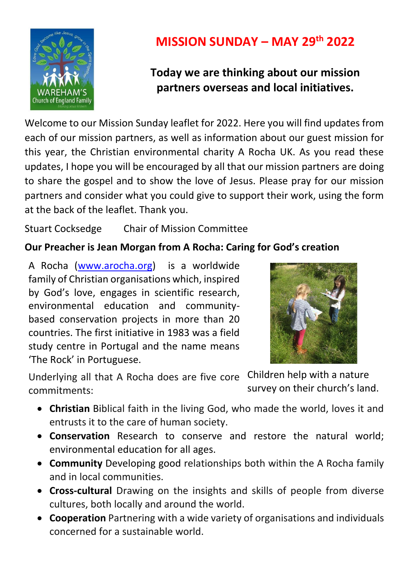

# **MISSION SUNDAY – MAY 29th 2022**

## **Today we are thinking about our mission partners overseas and local initiatives.**

Welcome to our Mission Sunday leaflet for 2022. Here you will find updates from each of our mission partners, as well as information about our guest mission for this year, the Christian environmental charity A Rocha UK. As you read these updates, I hope you will be encouraged by all that our mission partners are doing to share the gospel and to show the love of Jesus. Please pray for our mission partners and consider what you could give to support their work, using the form at the back of the leaflet. Thank you.

Stuart Cocksedge Chair of Mission Committee

## **Our Preacher is Jean Morgan from A Rocha: Caring for God's creation**

A Rocha [\(www.arocha.org\)](http://www.arocha.org/) is a worldwide family of Christian organisations which, inspired by God's love, engages in scientific research, environmental education and communitybased conservation projects in more than 20 countries. The first initiative in 1983 was a field study centre in Portugal and the name means 'The Rock' in Portuguese.



Underlying all that A Rocha does are five core Children help with a nature commitments: survey on their church's land.

- **Christian** Biblical faith in the living God, who made the world, loves it and entrusts it to the care of human society.
- **Conservation** Research to conserve and restore the natural world; environmental education for all ages.
- **Community** Developing good relationships both within the A Rocha family and in local communities.
- **Cross-cultural** Drawing on the insights and skills of people from diverse cultures, both locally and around the world.
- **Cooperation** Partnering with a wide variety of organisations and individuals concerned for a sustainable world.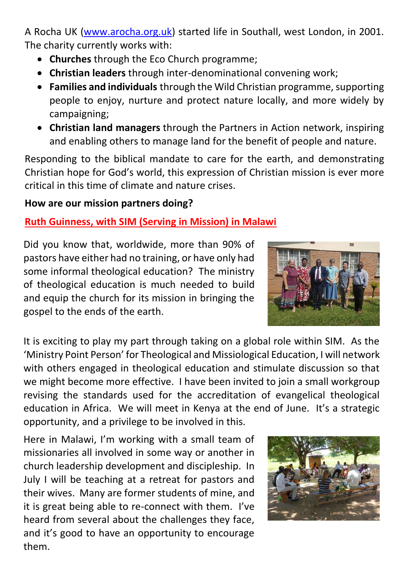A Rocha UK [\(www.arocha.org.uk\)](http://www.arocha.org.uk/) started life in Southall, west London, in 2001. The charity currently works with:

- **Churches** through the Eco Church programme;
- **Christian leaders** through inter-denominational convening work;
- **Families and individuals** through the Wild Christian programme, supporting people to enjoy, nurture and protect nature locally, and more widely by campaigning;
- **Christian land managers** through the Partners in Action network, inspiring and enabling others to manage land for the benefit of people and nature.

Responding to the biblical mandate to care for the earth, and demonstrating Christian hope for God's world, this expression of Christian mission is ever more critical in this time of climate and nature crises.

## **How are our mission partners doing?**

## **Ruth Guinness, with SIM (Serving in Mission) in Malawi**

Did you know that, worldwide, more than 90% of pastors have either had no training, or have only had some informal theological education? The ministry of theological education is much needed to build and equip the church for its mission in bringing the gospel to the ends of the earth.



It is exciting to play my part through taking on a global role within SIM. As the 'Ministry Point Person' for Theological and Missiological Education, I will network with others engaged in theological education and stimulate discussion so that we might become more effective. I have been invited to join a small workgroup revising the standards used for the accreditation of evangelical theological education in Africa. We will meet in Kenya at the end of June. It's a strategic opportunity, and a privilege to be involved in this.

Here in Malawi, I'm working with a small team of missionaries all involved in some way or another in church leadership development and discipleship. In July I will be teaching at a retreat for pastors and their wives. Many are former students of mine, and it is great being able to re-connect with them. I've heard from several about the challenges they face, and it's good to have an opportunity to encourage them.

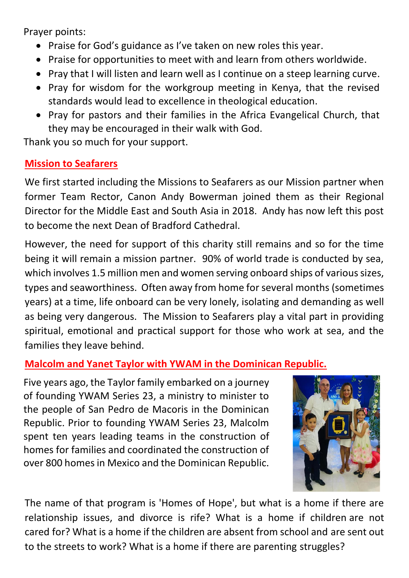Prayer points:

- Praise for God's guidance as I've taken on new roles this year.
- Praise for opportunities to meet with and learn from others worldwide.
- Pray that I will listen and learn well as I continue on a steep learning curve.
- Pray for wisdom for the workgroup meeting in Kenya, that the revised standards would lead to excellence in theological education.
- Pray for pastors and their families in the Africa Evangelical Church, that they may be encouraged in their walk with God.

Thank you so much for your support.

## **Mission to Seafarers**

We first started including the Missions to Seafarers as our Mission partner when former Team Rector, Canon Andy Bowerman joined them as their Regional Director for the Middle East and South Asia in 2018. Andy has now left this post to become the next Dean of Bradford Cathedral.

However, the need for support of this charity still remains and so for the time being it will remain a mission partner. 90% of world trade is conducted by sea, which involves 1.5 million men and women serving onboard ships of various sizes, types and seaworthiness. Often away from home for several months (sometimes years) at a time, life onboard can be very lonely, isolating and demanding as well as being very dangerous. The Mission to Seafarers play a vital part in providing spiritual, emotional and practical support for those who work at sea, and the families they leave behind.

#### **Malcolm and Yanet Taylor with YWAM in the Dominican Republic.**

Five years ago, the Taylor family embarked on a journey of founding YWAM Series 23, a ministry to minister to the people of San Pedro de Macoris in the Dominican Republic. Prior to founding YWAM Series 23, Malcolm spent ten years leading teams in the construction of homes for families and coordinated the construction of over 800 homes in Mexico and the Dominican Republic.



The name of that program is 'Homes of Hope', but what is a home if there are relationship issues, and divorce is rife? What is a home if children are not cared for? What is a home if the children are absent from school and are sent out to the streets to work? What is a home if there are parenting struggles?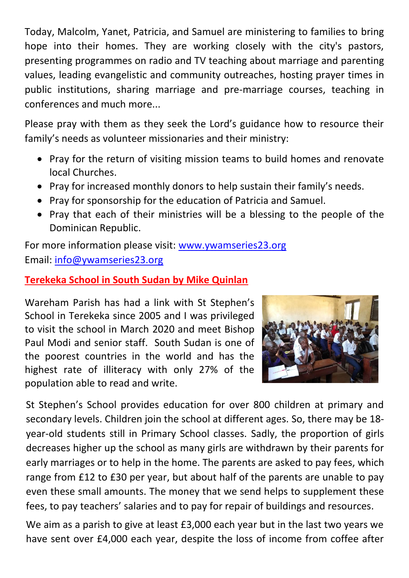Today, Malcolm, Yanet, Patricia, and Samuel are ministering to families to bring hope into their homes. They are working closely with the city's pastors, presenting programmes on radio and TV teaching about marriage and parenting values, leading evangelistic and community outreaches, hosting prayer times in public institutions, sharing marriage and pre-marriage courses, teaching in conferences and much more...

Please pray with them as they seek the Lord's guidance how to resource their family's needs as volunteer missionaries and their ministry:

- Pray for the return of visiting mission teams to build homes and renovate local Churches.
- Pray for increased monthly donors to help sustain their family's needs.
- Pray for sponsorship for the education of Patricia and Samuel.
- Pray that each of their ministries will be a blessing to the people of the Dominican Republic.

For more information please visit: [www.ywamseries23.org](http://www.ywamseries23.org/) Email: [info@ywamseries23.org](mailto:info@ywamseries23.org)

### **Terekeka School in South Sudan by Mike Quinlan**

Wareham Parish has had a link with St Stephen's School in Terekeka since 2005 and I was privileged to visit the school in March 2020 and meet Bishop Paul Modi and senior staff. South Sudan is one of the poorest countries in the world and has the highest rate of illiteracy with only 27% of the population able to read and write.



St Stephen's School provides education for over 800 children at primary and secondary levels. Children join the school at different ages. So, there may be 18 year-old students still in Primary School classes. Sadly, the proportion of girls decreases higher up the school as many girls are withdrawn by their parents for early marriages or to help in the home. The parents are asked to pay fees, which range from £12 to £30 per year, but about half of the parents are unable to pay even these small amounts. The money that we send helps to supplement these fees, to pay teachers' salaries and to pay for repair of buildings and resources.

We aim as a parish to give at least £3,000 each year but in the last two years we have sent over £4,000 each year, despite the loss of income from coffee after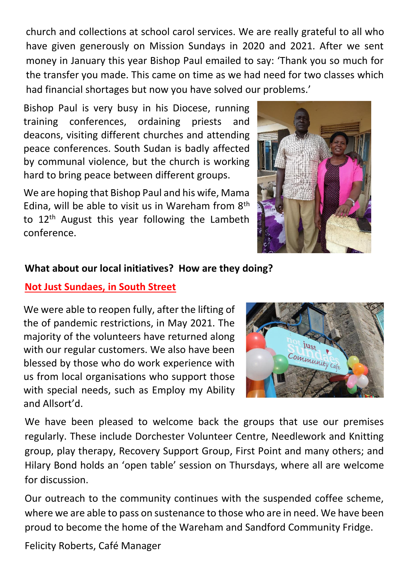church and collections at school carol services. We are really grateful to all who have given generously on Mission Sundays in 2020 and 2021. After we sent money in January this year Bishop Paul emailed to say: 'Thank you so much for the transfer you made. This came on time as we had need for two classes which had financial shortages but now you have solved our problems.'

Bishop Paul is very busy in his Diocese, running training conferences, ordaining priests and deacons, visiting different churches and attending peace conferences. South Sudan is badly affected by communal violence, but the church is working hard to bring peace between different groups.

We are hoping that Bishop Paul and his wife, Mama Edina, will be able to visit us in Wareham from  $8<sup>th</sup>$ to 12<sup>th</sup> August this year following the Lambeth conference.



#### **What about our local initiatives? How are they doing?**

#### **Not Just Sundaes, in South Street**

We were able to reopen fully, after the lifting of the of pandemic restrictions, in May 2021. The majority of the volunteers have returned along with our regular customers. We also have been blessed by those who do work experience with us from local organisations who support those with special needs, such as Employ my Ability and Allsort'd.



We have been pleased to welcome back the groups that use our premises regularly. These include Dorchester Volunteer Centre, Needlework and Knitting group, play therapy, Recovery Support Group, First Point and many others; and Hilary Bond holds an 'open table' session on Thursdays, where all are welcome for discussion.

Our outreach to the community continues with the suspended coffee scheme, where we are able to pass on sustenance to those who are in need. We have been proud to become the home of the Wareham and Sandford Community Fridge.

Felicity Roberts, Café Manager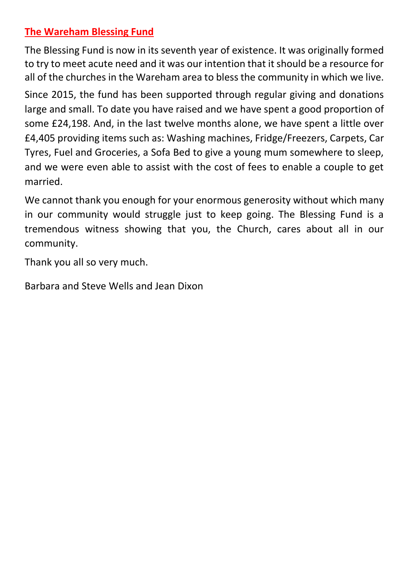### **The Wareham Blessing Fund**

The Blessing Fund is now in its seventh year of existence. It was originally formed to try to meet acute need and it was our intention that it should be a resource for all of the churches in the Wareham area to bless the community in which we live.

Since 2015, the fund has been supported through regular giving and donations large and small. To date you have raised and we have spent a good proportion of some £24,198. And, in the last twelve months alone, we have spent a little over £4,405 providing items such as: Washing machines, Fridge/Freezers, Carpets, Car Tyres, Fuel and Groceries, a Sofa Bed to give a young mum somewhere to sleep, and we were even able to assist with the cost of fees to enable a couple to get married.

We cannot thank you enough for your enormous generosity without which many in our community would struggle just to keep going. The Blessing Fund is a tremendous witness showing that you, the Church, cares about all in our community.

Thank you all so very much.

Barbara and Steve Wells and Jean Dixon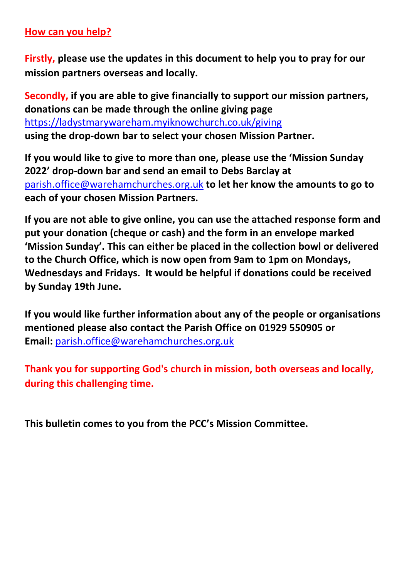#### **How can you help?**

**Firstly, please use the updates in this document to help you to pray for our mission partners overseas and locally.**

**Secondly, if you are able to give financially to support our mission partners, donations can be made through the online giving page**  <https://ladystmarywareham.myiknowchurch.co.uk/giving> **using the drop-down bar to select your chosen Mission Partner.** 

**If you would like to give to more than one, please use the 'Mission Sunday 2022' drop-down bar and send an email to Debs Barclay at**  [parish.office@warehamchurches.org.uk](mailto:parish.office@warehamchurches.org.uk) **to let her know the amounts to go to each of your chosen Mission Partners.**

**If you are not able to give online, you can use the attached response form and put your donation (cheque or cash) and the form in an envelope marked 'Mission Sunday'. This can either be placed in the collection bowl or delivered to the Church Office, which is now open from 9am to 1pm on Mondays, Wednesdays and Fridays. It would be helpful if donations could be received by Sunday 19th June.** 

**If you would like further information about any of the people or organisations mentioned please also contact the Parish Office on 01929 550905 or Email:** [parish.office@warehamchurches.org.uk](mailto:parish.office@warehamchurches.org.uk)

**Thank you for supporting God's church in mission, both overseas and locally, during this challenging time.**

**This bulletin comes to you from the PCC's Mission Committee.**